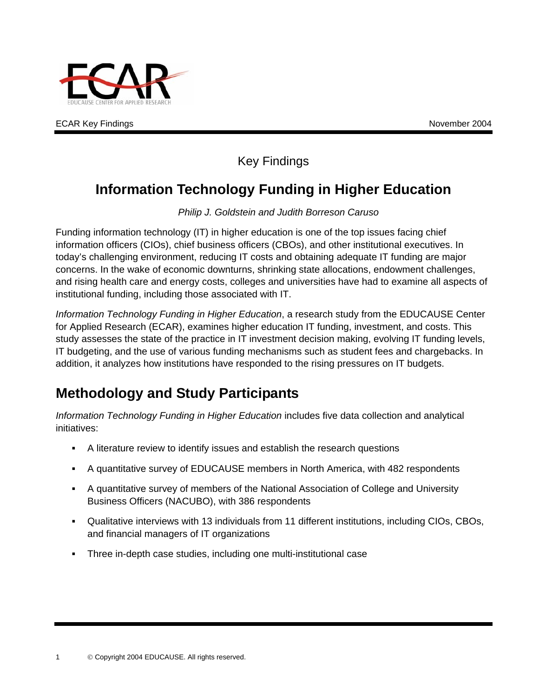

#### Key Findings

## **Information Technology Funding in Higher Education**

*Philip J. Goldstein and Judith Borreson Caruso* 

Funding information technology (IT) in higher education is one of the top issues facing chief information officers (CIOs), chief business officers (CBOs), and other institutional executives. In today's challenging environment, reducing IT costs and obtaining adequate IT funding are major concerns. In the wake of economic downturns, shrinking state allocations, endowment challenges, and rising health care and energy costs, colleges and universities have had to examine all aspects of institutional funding, including those associated with IT.

*Information Technology Funding in Higher Education*, a research study from the EDUCAUSE Center for Applied Research (ECAR), examines higher education IT funding, investment, and costs. This study assesses the state of the practice in IT investment decision making, evolving IT funding levels, IT budgeting, and the use of various funding mechanisms such as student fees and chargebacks. In addition, it analyzes how institutions have responded to the rising pressures on IT budgets.

# **Methodology and Study Participants**

*Information Technology Funding in Higher Education* includes five data collection and analytical initiatives:

- A literature review to identify issues and establish the research questions
- . A quantitative survey of EDUCAUSE members in North America, with 482 respondents
- $\mathbf{r}$ A quantitative survey of members of the National Association of College and University Business Officers (NACUBO), with 386 respondents
- . Qualitative interviews with 13 individuals from 11 different institutions, including CIOs, CBOs, and financial managers of IT organizations
- a. Three in-depth case studies, including one multi-institutional case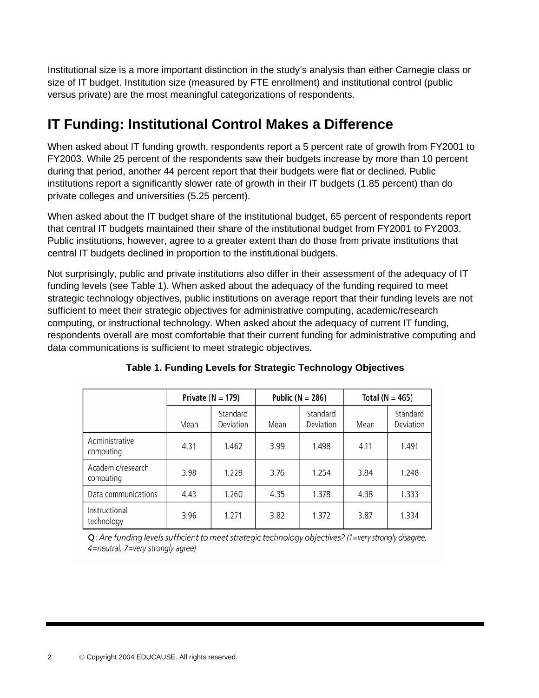Institutional size is a more important distinction in the study's analysis than either Carnegie class or size of IT budget. Institution size (measured by FTE enrollment) and institutional control (public versus private) are the most meaningful categorizations of respondents.

# **IT Funding: Institutional Control Makes a Difference**

When asked about IT funding growth, respondents report a 5 percent rate of growth from FY2001 to FY2003. While 25 percent of the respondents saw their budgets increase by more than 10 percent during that period, another 44 percent report that their budgets were flat or declined. Public institutions report a significantly slower rate of growth in their IT budgets (1.85 percent) than do private colleges and universities (5.25 percent).

When asked about the IT budget share of the institutional budget, 65 percent of respondents report that central IT budgets maintained their share of the institutional budget from FY2001 to FY2003. Public institutions, however, agree to a greater extent than do those from private institutions that central IT budgets declined in proportion to the institutional budgets.

Not surprisingly, public and private institutions also differ in their assessment of the adequacy of IT funding levels (see Table 1). When asked about the adequacy of the funding required to meet strategic technology objectives, public institutions on average report that their funding levels are not sufficient to meet their strategic objectives for administrative computing, academic/research computing, or instructional technology. When asked about the adequacy of current IT funding, respondents overall are most comfortable that their current funding for administrative computing and data communications is sufficient to meet strategic objectives.

|                                | Private ( $N = 179$ ) |                       | Public ( $N = 286$ ) |                       | Total ( $N = 465$ ) |                       |
|--------------------------------|-----------------------|-----------------------|----------------------|-----------------------|---------------------|-----------------------|
|                                | Mean                  | Standard<br>Deviation | Mean                 | Standard<br>Deviation | Mean                | Standard<br>Deviation |
| Administrative<br>computing    | 4.31                  | 1.462                 | 3.99                 | 1.498                 | 4.11                | 1.491                 |
| Academic/research<br>computing | 3.98                  | 1.229                 | 3.76                 | 1.254                 | 3.84                | 1.248                 |
| Data communications            | 4.43                  | 1.260                 | 4.35                 | 1.378                 | 4.38                | 1.333                 |
| Instructional<br>technology    | 3.96                  | 1.271                 | 3.82                 | 1.372                 | 3.87                | 1.334                 |

**Table 1. Funding Levels for Strategic Technology Objectives** 

Q: Are funding levels sufficient to meet strategic technology objectives? (1=very strongly disagree, 4=neutral, 7=very strongly agree)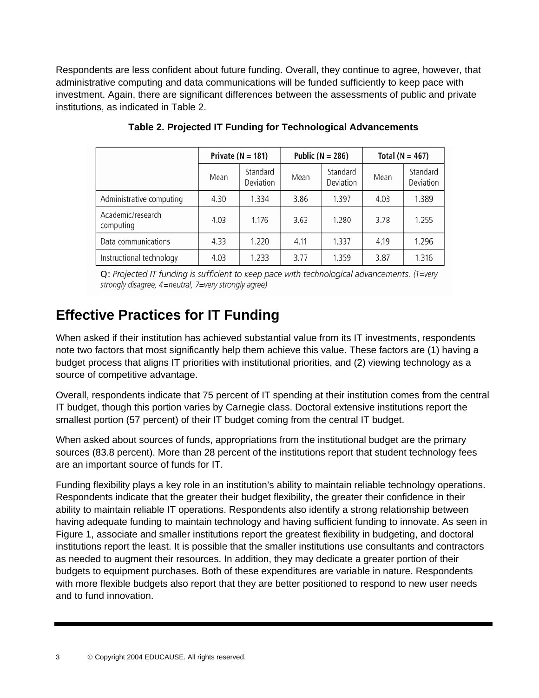Respondents are less confident about future funding. Overall, they continue to agree, however, that administrative computing and data communications will be funded sufficiently to keep pace with investment. Again, there are significant differences between the assessments of public and private institutions, as indicated in Table 2.

|                                | Private ( $N = 181$ ) |                       | Public ( $N = 286$ ) |                       | Total ( $N = 467$ ) |                       |
|--------------------------------|-----------------------|-----------------------|----------------------|-----------------------|---------------------|-----------------------|
|                                | Mean                  | Standard<br>Deviation | Mean                 | Standard<br>Deviation | Mean                | Standard<br>Deviation |
| Administrative computing       | 4.30                  | 1.334                 | 3.86                 | 1.397                 | 4.03                | 1.389                 |
| Academic/research<br>computing | 4.03                  | 1.176                 | 3.63                 | 1.280                 | 3.78                | 1.255                 |
| Data communications            | 4.33                  | 1.220                 | 4.11                 | 1.337                 | 4.19                | 1.296                 |
| Instructional technology       | 4.03                  | 1.233                 | 3.77                 | 1.359                 | 3.87                | 1.316                 |

#### **Table 2. Projected IT Funding for Technological Advancements**

 $Q$ : Projected IT funding is sufficient to keep pace with technological advancements. (1=very strongly disagree, 4=neutral, 7=very strongly agree)

#### **Effective Practices for IT Funding**

When asked if their institution has achieved substantial value from its IT investments, respondents note two factors that most significantly help them achieve this value. These factors are (1) having a budget process that aligns IT priorities with institutional priorities, and (2) viewing technology as a source of competitive advantage.

Overall, respondents indicate that 75 percent of IT spending at their institution comes from the central IT budget, though this portion varies by Carnegie class. Doctoral extensive institutions report the smallest portion (57 percent) of their IT budget coming from the central IT budget.

When asked about sources of funds, appropriations from the institutional budget are the primary sources (83.8 percent). More than 28 percent of the institutions report that student technology fees are an important source of funds for IT.

Funding flexibility plays a key role in an institution's ability to maintain reliable technology operations. Respondents indicate that the greater their budget flexibility, the greater their confidence in their ability to maintain reliable IT operations. Respondents also identify a strong relationship between having adequate funding to maintain technology and having sufficient funding to innovate. As seen in Figure 1, associate and smaller institutions report the greatest flexibility in budgeting, and doctoral institutions report the least. It is possible that the smaller institutions use consultants and contractors as needed to augment their resources. In addition, they may dedicate a greater portion of their budgets to equipment purchases. Both of these expenditures are variable in nature. Respondents with more flexible budgets also report that they are better positioned to respond to new user needs and to fund innovation.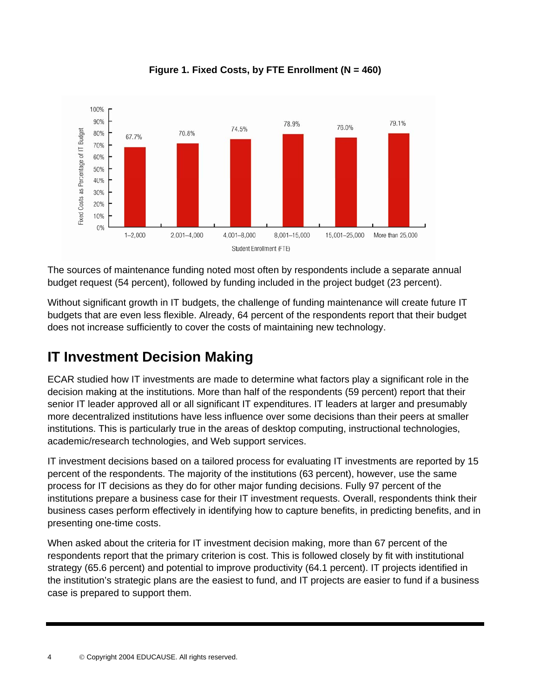

**Figure 1. Fixed Costs, by FTE Enrollment (N = 460)** 

The sources of maintenance funding noted most often by respondents include a separate annual budget request (54 percent), followed by funding included in the project budget (23 percent).

Without significant growth in IT budgets, the challenge of funding maintenance will create future IT budgets that are even less flexible. Already, 64 percent of the respondents report that their budget does not increase sufficiently to cover the costs of maintaining new technology.

## **IT Investment Decision Making**

ECAR studied how IT investments are made to determine what factors play a significant role in the decision making at the institutions. More than half of the respondents (59 percent) report that their senior IT leader approved all or all significant IT expenditures. IT leaders at larger and presumably more decentralized institutions have less influence over some decisions than their peers at smaller institutions. This is particularly true in the areas of desktop computing, instructional technologies, academic/research technologies, and Web support services.

IT investment decisions based on a tailored process for evaluating IT investments are reported by 15 percent of the respondents. The majority of the institutions (63 percent), however, use the same process for IT decisions as they do for other major funding decisions. Fully 97 percent of the institutions prepare a business case for their IT investment requests. Overall, respondents think their business cases perform effectively in identifying how to capture benefits, in predicting benefits, and in presenting one-time costs.

When asked about the criteria for IT investment decision making, more than 67 percent of the respondents report that the primary criterion is cost. This is followed closely by fit with institutional strategy (65.6 percent) and potential to improve productivity (64.1 percent). IT projects identified in the institution's strategic plans are the easiest to fund, and IT projects are easier to fund if a business case is prepared to support them.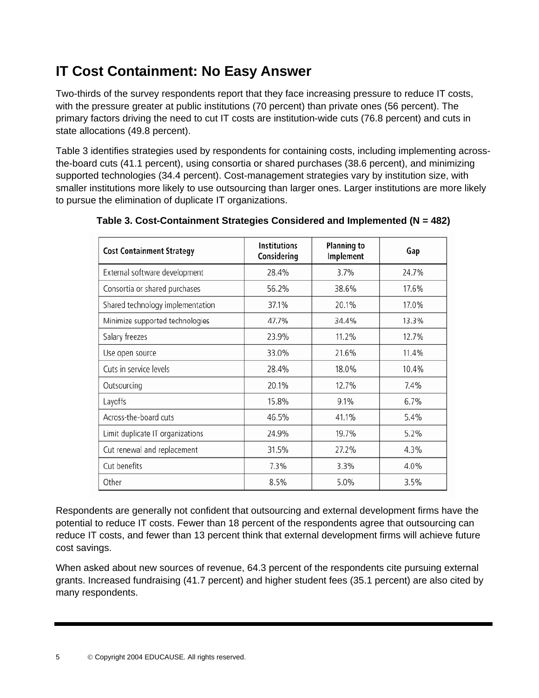# **IT Cost Containment: No Easy Answer**

Two-thirds of the survey respondents report that they face increasing pressure to reduce IT costs, with the pressure greater at public institutions (70 percent) than private ones (56 percent). The primary factors driving the need to cut IT costs are institution-wide cuts (76.8 percent) and cuts in state allocations (49.8 percent).

Table 3 identifies strategies used by respondents for containing costs, including implementing acrossthe-board cuts (41.1 percent), using consortia or shared purchases (38.6 percent), and minimizing supported technologies (34.4 percent). Cost-management strategies vary by institution size, with smaller institutions more likely to use outsourcing than larger ones. Larger institutions are more likely to pursue the elimination of duplicate IT organizations.

| <b>Cost Containment Strategy</b> | <b>Institutions</b><br>Considering | <b>Planning to</b><br>Implement | Gap   |  |
|----------------------------------|------------------------------------|---------------------------------|-------|--|
| External software development    | 28.4%                              | 3.7%                            | 24.7% |  |
| Consortia or shared purchases    | 56.2%                              | 38.6%                           | 17.6% |  |
| Shared technology implementation | 37.1%                              | 20.1%                           | 17.0% |  |
| Minimize supported technologies  | 47.7%                              | 34.4%                           | 13.3% |  |
| Salary freezes                   | 23.9%                              | 11.2%                           | 12.7% |  |
| Use open source                  | 33.0%                              | 21.6%                           | 11.4% |  |
| Cuts in service levels           | 28.4%                              | 18.0%                           | 10.4% |  |
| Outsourcing                      | 20.1%                              | 12.7%                           | 7.4%  |  |
| Layoffs                          | 15.8%                              | 9.1%                            | 6.7%  |  |
| Across-the-board cuts            | 46.5%                              | 41.1%                           | 5.4%  |  |
| Limit duplicate IT organizations | 24.9%                              | 19.7%                           | 5.2%  |  |
| Cut renewal and replacement      | 31.5%                              | 27.2%                           | 4.3%  |  |
| Cut benefits                     | 7.3%                               | 3.3%                            | 4.0%  |  |
| Other                            | 8.5%                               | 5.0%                            | 3.5%  |  |

**Table 3. Cost-Containment Strategies Considered and Implemented (N = 482)** 

Respondents are generally not confident that outsourcing and external development firms have the potential to reduce IT costs. Fewer than 18 percent of the respondents agree that outsourcing can reduce IT costs, and fewer than 13 percent think that external development firms will achieve future cost savings.

When asked about new sources of revenue, 64.3 percent of the respondents cite pursuing external grants. Increased fundraising (41.7 percent) and higher student fees (35.1 percent) are also cited by many respondents.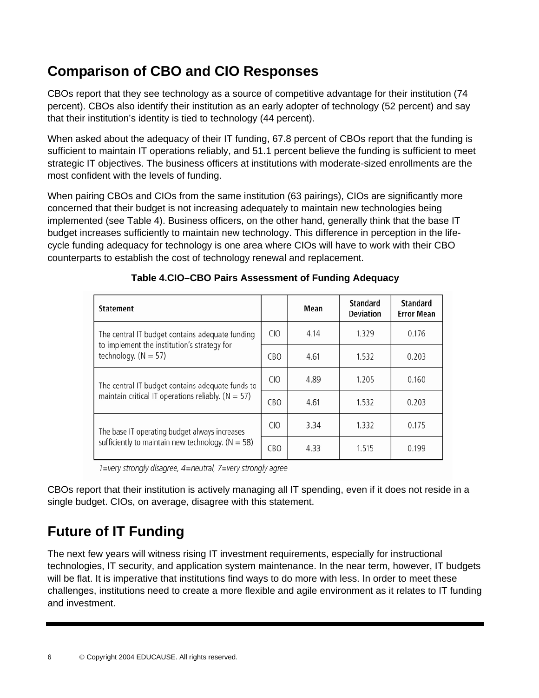## **Comparison of CBO and CIO Responses**

CBOs report that they see technology as a source of competitive advantage for their institution (74 percent). CBOs also identify their institution as an early adopter of technology (52 percent) and say that their institution's identity is tied to technology (44 percent).

When asked about the adequacy of their IT funding, 67.8 percent of CBOs report that the funding is sufficient to maintain IT operations reliably, and 51.1 percent believe the funding is sufficient to meet strategic IT objectives. The business officers at institutions with moderate-sized enrollments are the most confident with the levels of funding.

When pairing CBOs and CIOs from the same institution (63 pairings), CIOs are significantly more concerned that their budget is not increasing adequately to maintain new technologies being implemented (see Table 4). Business officers, on the other hand, generally think that the base IT budget increases sufficiently to maintain new technology. This difference in perception in the lifecycle funding adequacy for technology is one area where CIOs will have to work with their CBO counterparts to establish the cost of technology renewal and replacement.

| <b>Statement</b>                                                                               |                 | Mean | Standard<br><b>Deviation</b> | <b>Standard</b><br><b>Error Mean</b> |
|------------------------------------------------------------------------------------------------|-----------------|------|------------------------------|--------------------------------------|
| The central IT budget contains adequate funding<br>to implement the institution's strategy for | CIO             | 4.14 | 1.329                        | 0.176                                |
| technology. $(N = 57)$                                                                         | <b>CBO</b>      | 4.61 | 1.532                        | 0.203                                |
| The central IT budget contains adequate funds to                                               | C10             | 4.89 | 1.205                        | 0.160                                |
| maintain critical IT operations reliably. ( $N = 57$ )                                         | <b>CBO</b>      | 4.61 | 1.532                        | 0.203                                |
| The base IT operating budget always increases                                                  | C <sub>IO</sub> | 3.34 | 1.332                        | 0.175                                |
| sufficiently to maintain new technology. ( $N = 58$ )                                          | <b>CBO</b>      | 4.33 | 1.515                        | 0.199                                |

#### **Table 4.CIO–CBO Pairs Assessment of Funding Adequacy**

1=very strongly disagree, 4=neutral, 7=very strongly agree

CBOs report that their institution is actively managing all IT spending, even if it does not reside in a single budget. CIOs, on average, disagree with this statement.

## **Future of IT Funding**

The next few years will witness rising IT investment requirements, especially for instructional technologies, IT security, and application system maintenance. In the near term, however, IT budgets will be flat. It is imperative that institutions find ways to do more with less. In order to meet these challenges, institutions need to create a more flexible and agile environment as it relates to IT funding and investment.